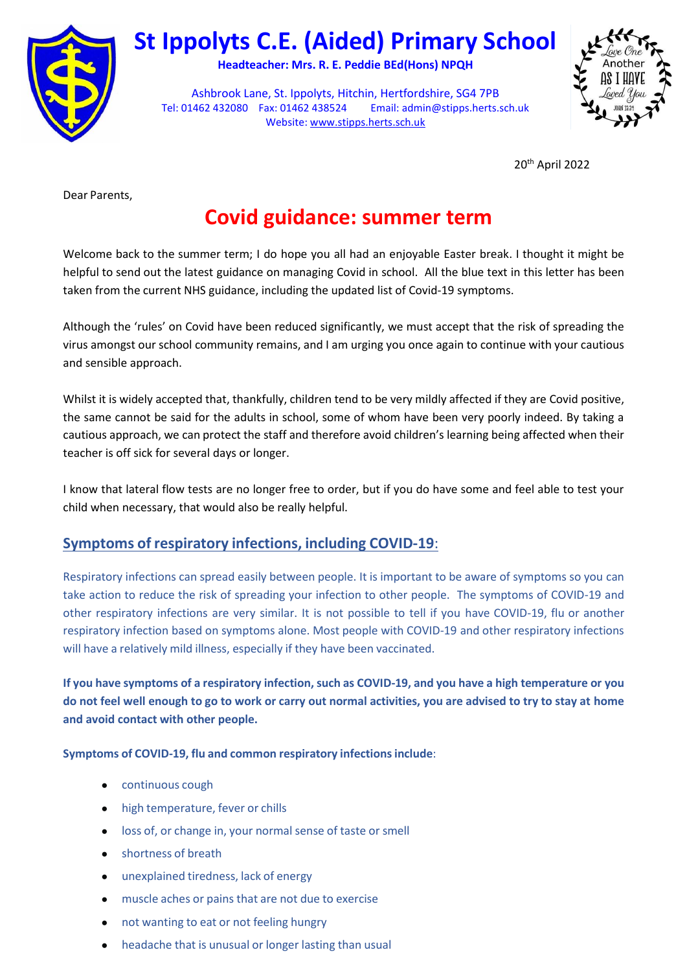

# **St Ippolyts C.E. (Aided) Primary School**

**Headteacher: Mrs. R. E. Peddie BEd(Hons) NPQH**

Ashbrook Lane, St. Ippolyts, Hitchin, Hertfordshire, SG4 7PB Tel: 01462 432080 Fax: 01462 438524 Email[: admin@stipps.herts.sch.uk](mailto:admin.stipps@thegrid.org.uk)  Website: [www.stipps.herts.sch.uk](http://www.stipps.herts.sch.uk/)



20th April 2022

Dear Parents,

# **Covid guidance: summer term**

Welcome back to the summer term; I do hope you all had an enjoyable Easter break. I thought it might be helpful to send out the latest guidance on managing Covid in school. All the blue text in this letter has been taken from the current NHS guidance, including the updated list of Covid-19 symptoms.

Although the 'rules' on Covid have been reduced significantly, we must accept that the risk of spreading the virus amongst our school community remains, and I am urging you once again to continue with your cautious and sensible approach.

Whilst it is widely accepted that, thankfully, children tend to be very mildly affected if they are Covid positive, the same cannot be said for the adults in school, some of whom have been very poorly indeed. By taking a cautious approach, we can protect the staff and therefore avoid children's learning being affected when their teacher is off sick for several days or longer.

I know that lateral flow tests are no longer free to order, but if you do have some and feel able to test your child when necessary, that would also be really helpful.

#### **Symptoms of respiratory infections, including COVID-19**:

Respiratory infections can spread easily between people. It is important to be aware of symptoms so you can take action to reduce the risk of spreading your infection to other people. The symptoms of COVID-19 and other respiratory infections are very similar. It is not possible to tell if you have COVID-19, flu or another respiratory infection based on symptoms alone. Most people with COVID-19 and other respiratory infections will have a relatively mild illness, especially if they have been vaccinated.

If you have symptoms of a respiratory infection, such as COVID-19, and you have a high temperature or you **do not feel well enough to go to work or carry out normal activities, you are advised to try to stay at home and avoid contact with other people.**

**Symptoms of COVID-19, flu and common respiratory infectionsinclude**:

- continuous cough
- high temperature, fever or chills
- loss of, or change in, your normal sense of taste or smell
- shortness of breath
- unexplained tiredness, lack of energy
- muscle aches or pains that are not due to exercise
- not wanting to eat or not feeling hungry
- headache that is unusual or longer lasting than usual